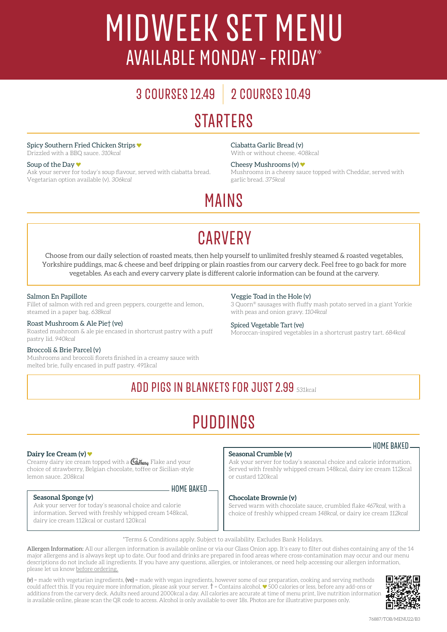## MIDWEEK SET MENU AVAILABLE MONDAY – FRIDAY\*

## 3 COURSES 12.49 2 COURSES 1O.49 **STARTERS**

#### Spicy Southern Fried Chicken Strips

Drizzled with a BBQ sauce. *310kcal*

#### Soup of the Day

Ask your server for today's soup flavour, served with ciabatta bread. Vegetarian option available (v). *306kcal*

Ciabatta Garlic Bread (v)

With or without cheese. 408kcal

Cheesy Mushrooms (v) ♥ Mushrooms in a cheesy sauce topped with Cheddar, served with garlic bread. *375kcal*

## MAINS

## **CARVERY**

Choose from our daily selection of roasted meats, then help yourself to unlimited freshly steamed & roasted vegetables, Yorkshire puddings, mac & cheese and beef dripping or plain roasties from our carvery deck. Feel free to go back for more vegetables. As each and every carvery plate is different calorie information can be found at the carvery.

#### Salmon En Papillote

Fillet of salmon with red and green peppers, courgette and lemon, steamed in a paper bag. *638kcal*

#### Roast Mushroom & Ale Pie† (ve)

Roasted mushroom & ale pie encased in shortcrust pastry with a puff pastry lid. *940kcal*

#### Broccoli & Brie Parcel (v)

Mushrooms and broccoli florets finished in a creamy sauce with melted brie, fully encased in puff pastry. 491kcal

#### Veggie Toad in the Hole (v)

3 Quorn® sausages with fluffy mash potato served in a giant Yorkie with peas and onion gravy. *1104kcal*

#### Spiced Vegetable Tart (ve)

Moroccan-inspired vegetables in a shortcrust pastry tart. *684kcal*

### ADD PIGS IN BLANKETS FOR JUST 2.99 531kcal

## PUDDINGS

#### **Dairy Ice Cream (v)**

Creamy dairy ice cream topped with a  $\mathcal{C}_{\mathit{abbuny}}$  Flake and your choice of strawberry, Belgian chocolate, toffee or Sicilian-style lemon sauce. 208kcal

#### **Seasonal Sponge (v)**

 $-$  HOME BAKED

Ask your server for today's seasonal choice and calorie information. Served with freshly whipped cream 148kcal, dairy ice cream 112kcal or custard 120kcal

#### **Seasonal Crumble (v)**

Ask your server for today's seasonal choice and calorie information. Served with freshly whipped cream 148kcal, dairy ice cream 112kcal or custard 120kcal

#### **Chocolate Brownie (v)**

Served warm with chocolate sauce, crumbled flake *467kcal*, with a choice of freshly whipped cream *148kcal*, or dairy ice cream *112kcal* 

\*Terms & Conditions apply. Subject to availability. Excludes Bank Holidays.

Allergen Information: All our allergen information is available online or via our Glass Onion app. It's easy to filter out dishes containing any of the 14 major allergens and is always kept up to date. Our food and drinks are prepared in food areas where cross-contamination may occur and our menu descriptions do not include all ingredients. If you have any questions, allergies, or intolerances, or need help accessing our allergen information, please let us know before ordering.

 $(v)$  = made with vegetarian ingredients,  $(ve)$  = made with vegan ingredients, however some of our preparation, cooking and serving methods could affect this. If you require more information, please ask your server.  $\dagger$  = Contains alcohol.  $\bullet$  500 calories or less, before any add-ons or additions from the carvery deck. Adults need around 2000kcal a day. All calories are accurate at time of menu print, live nutrition information is available online, please scan the QR code to access. Alcohol is only available to over 18s. Photos are for illustrative purposes only.



- HOME BAKED-